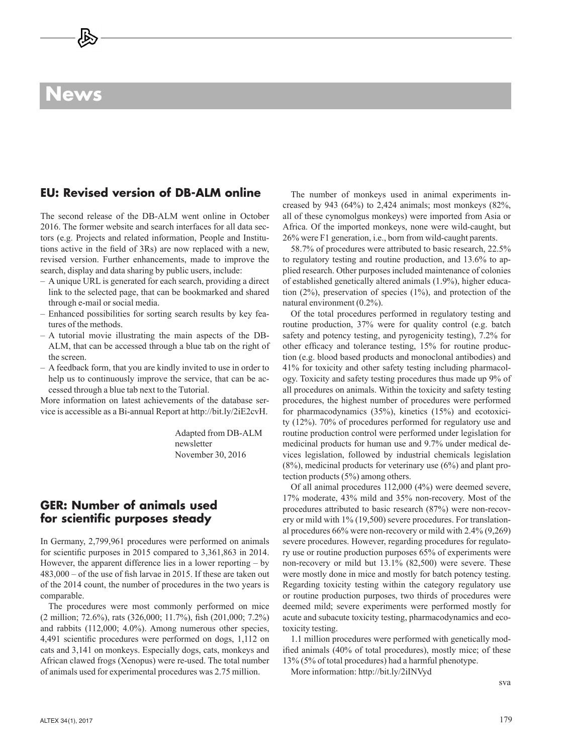# **News**

# **EU: Revised version of DB-ALM online**

The second release of the DB-ALM went online in October 2016. The former website and search interfaces for all data sectors (e.g. Projects and related information, People and Institutions active in the field of 3Rs) are now replaced with a new, revised version. Further enhancements, made to improve the search, display and data sharing by public users, include:

- A unique URL is generated for each search, providing a direct link to the selected page, that can be bookmarked and shared through e-mail or social media.
- Enhanced possibilities for sorting search results by key features of the methods.
- A tutorial movie illustrating the main aspects of the DB-ALM, that can be accessed through a blue tab on the right of the screen.
- A feedback form, that you are kindly invited to use in order to help us to continuously improve the service, that can be accessed through a blue tab next to the Tutorial.

More information on latest achievements of the database service is accessible as a Bi-annual Report at [http://bit.ly/2iE2cvH.](http://bit.ly/2iE2cvH)

> Adapted from DB-ALM newsletter November 30, 2016

# **GER: Number of animals used for scientific purposes steady**

In Germany, 2,799,961 procedures were performed on animals for scientific purposes in 2015 compared to 3,361,863 in 2014. However, the apparent difference lies in a lower reporting – by 483,000 – of the use of fish larvae in 2015. If these are taken out of the 2014 count, the number of procedures in the two years is comparable.

The procedures were most commonly performed on mice (2 million; 72.6%), rats (326,000; 11.7%), fish (201,000; 7.2%) and rabbits (112,000; 4.0%). Among numerous other species, 4,491 scientific procedures were performed on dogs, 1,112 on cats and 3,141 on monkeys. Especially dogs, cats, monkeys and African clawed frogs (Xenopus) were re-used. The total number of animals used for experimental procedures was 2.75 million.

The number of monkeys used in animal experiments increased by 943 (64%) to 2,424 animals; most monkeys (82%, all of these cynomolgus monkeys) were imported from Asia or Africa. Of the imported monkeys, none were wild-caught, but 26% were F1 generation, i.e., born from wild-caught parents.

58.7% of procedures were attributed to basic research, 22.5% to regulatory testing and routine production, and 13.6% to applied research. Other purposes included maintenance of colonies of established genetically altered animals (1.9%), higher education (2%), preservation of species (1%), and protection of the natural environment (0.2%).

Of the total procedures performed in regulatory testing and routine production, 37% were for quality control (e.g. batch safety and potency testing, and pyrogenicity testing), 7.2% for other efficacy and tolerance testing, 15% for routine production (e.g. blood based products and monoclonal antibodies) and 41% for toxicity and other safety testing including pharmacology. Toxicity and safety testing procedures thus made up 9% of all procedures on animals. Within the toxicity and safety testing procedures, the highest number of procedures were performed for pharmacodynamics (35%), kinetics (15%) and ecotoxicity (12%). 70% of procedures performed for regulatory use and routine production control were performed under legislation for medicinal products for human use and 9.7% under medical devices legislation, followed by industrial chemicals legislation (8%), medicinal products for veterinary use (6%) and plant protection products (5%) among others.

Of all animal procedures 112,000 (4%) were deemed severe, 17% moderate, 43% mild and 35% non-recovery. Most of the procedures attributed to basic research (87%) were non-recovery or mild with 1% (19,500) severe procedures. For translational procedures 66% were non-recovery or mild with 2.4% (9,269) severe procedures. However, regarding procedures for regulatory use or routine production purposes 65% of experiments were non-recovery or mild but 13.1% (82,500) were severe. These were mostly done in mice and mostly for batch potency testing. Regarding toxicity testing within the category regulatory use or routine production purposes, two thirds of procedures were deemed mild; severe experiments were performed mostly for acute and subacute toxicity testing, pharmacodynamics and ecotoxicity testing.

1.1 million procedures were performed with genetically modified animals (40% of total procedures), mostly mice; of these 13% (5% of total procedures) had a harmful phenotype.

More information:<http://bit.ly/2iINVyd>

sva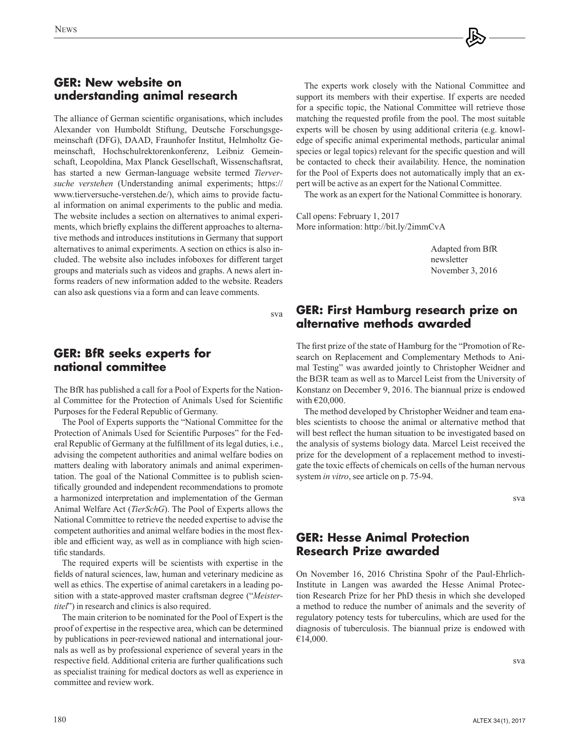#### **GER: New website on understanding animal research**

The alliance of German scientific organisations, which includes Alexander von Humboldt Stiftung, Deutsche Forschungsgemeinschaft (DFG), DAAD, Fraunhofer Institut, Helmholtz Gemeinschaft, Hochschulrektorenkonferenz, Leibniz Gemeinschaft, Leopoldina, Max Planck Gesellschaft, Wissenschaftsrat, has started a new German-language website termed *Tierversuche verstehen* (Understanding animal experiments; [https://](https://www.tierversuche-verstehen.de/) [www.tierversuche-verstehen.de/\), w](https://www.tierversuche-verstehen.de/)hich aims to provide factual information on animal experiments to the public and media. The website includes a section on alternatives to animal experiments, which briefly explains the different approaches to alternative methods and introduces institutions in Germany that support alternatives to animal experiments. A section on ethics is also included. The website also includes infoboxes for different target groups and materials such as videos and graphs. A news alert informs readers of new information added to the website. Readers can also ask questions via a form and can leave comments.

sva

## **GER: BfR seeks experts for national committee**

The BfR has published a call for a Pool of Experts for the National Committee for the Protection of Animals Used for Scientific Purposes for the Federal Republic of Germany.

The Pool of Experts supports the "National Committee for the Protection of Animals Used for Scientific Purposes" for the Federal Republic of Germany at the fulfillment of its legal duties, i.e., advising the competent authorities and animal welfare bodies on matters dealing with laboratory animals and animal experimentation. The goal of the National Committee is to publish scientifically grounded and independent recommendations to promote a harmonized interpretation and implementation of the German Animal Welfare Act (*TierSchG*). The Pool of Experts allows the National Committee to retrieve the needed expertise to advise the competent authorities and animal welfare bodies in the most flexible and efficient way, as well as in compliance with high scientific standards.

The required experts will be scientists with expertise in the fields of natural sciences, law, human and veterinary medicine as well as ethics. The expertise of animal caretakers in a leading position with a state-approved master craftsman degree ("*Meistertitel*") in research and clinics is also required.

The main criterion to be nominated for the Pool of Expert is the proof of expertise in the respective area, which can be determined by publications in peer-reviewed national and international journals as well as by professional experience of several years in the respective field. Additional criteria are further qualifications such as specialist training for medical doctors as well as experience in committee and review work.

The experts work closely with the National Committee and support its members with their expertise. If experts are needed for a specific topic, the National Committee will retrieve those matching the requested profile from the pool. The most suitable experts will be chosen by using additional criteria (e.g. knowledge of specific animal experimental methods, particular animal species or legal topics) relevant for the specific question and will be contacted to check their availability. Hence, the nomination for the Pool of Experts does not automatically imply that an expert will be active as an expert for the National Committee.

The work as an expert for the National Committee is honorary.

Call opens: February 1, 2017 More information:<http://bit.ly/2immCvA>

> Adapted from BfR newsletter November 3, 2016

## **GER: First Hamburg research prize on alternative methods awarded**

The first prize of the state of Hamburg for the "Promotion of Research on Replacement and Complementary Methods to Animal Testing" was awarded jointly to Christopher Weidner and the Bf3R team as well as to Marcel Leist from the University of Konstanz on December 9, 2016. The biannual prize is endowed with  $\epsilon$ 20,000.

The method developed by Christopher Weidner and team enables scientists to choose the animal or alternative method that will best reflect the human situation to be investigated based on the analysis of systems biology data. Marcel Leist received the prize for the development of a replacement method to investigate the toxic effects of chemicals on cells of the human nervous system *in vitro*, see article on p. 75-94.

sva

#### **GER: Hesse Animal Protection Research Prize awarded**

On November 16, 2016 Christina Spohr of the Paul-Ehrlich-Institute in Langen was awarded the Hesse Animal Protection Research Prize for her PhD thesis in which she developed a method to reduce the number of animals and the severity of regulatory potency tests for tuberculins, which are used for the diagnosis of tuberculosis. The biannual prize is endowed with  $€14,000.$ 

sva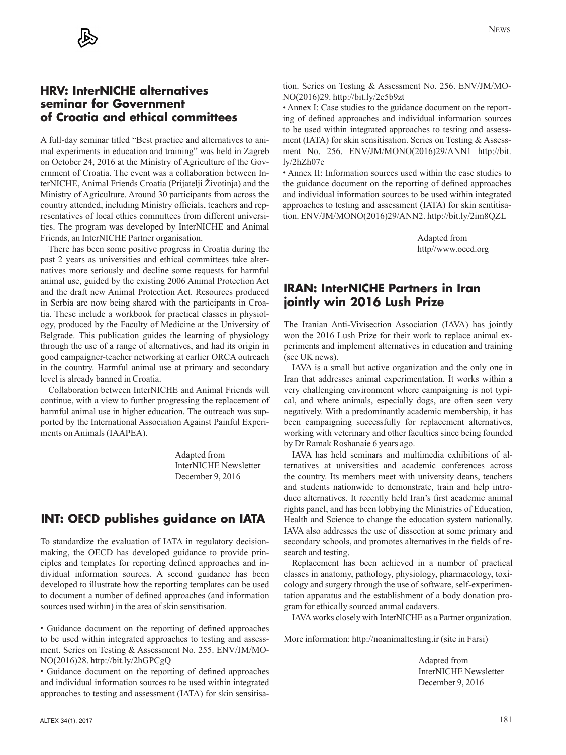#### **HRV: InterNICHE alternatives seminar for Government of Croatia and ethical committees**

A full-day seminar titled "Best practice and alternatives to animal experiments in education and training" was held in Zagreb on October 24, 2016 at the Ministry of Agriculture of the Government of Croatia. The event was a collaboration between InterNICHE, Animal Friends Croatia (Prijatelji Životinja) and the Ministry of Agriculture. Around 30 participants from across the country attended, including Ministry officials, teachers and representatives of local ethics committees from different universities. The program was developed by InterNICHE and Animal Friends, an InterNICHE Partner organisation.

There has been some positive progress in Croatia during the past 2 years as universities and ethical committees take alternatives more seriously and decline some requests for harmful animal use, guided by the existing 2006 Animal Protection Act and the draft new Animal Protection Act. Resources produced in Serbia are now being shared with the participants in Croatia. These include a workbook for practical classes in physiology, produced by the Faculty of Medicine at the University of Belgrade. This publication guides the learning of physiology through the use of a range of alternatives, and had its origin in good campaigner-teacher networking at earlier ORCA outreach in the country. Harmful animal use at primary and secondary level is already banned in Croatia.

Collaboration between InterNICHE and Animal Friends will continue, with a view to further progressing the replacement of harmful animal use in higher education. The outreach was supported by the International Association Against Painful Experiments on Animals (IAAPEA).

> Adapted from InterNICHE Newsletter December 9, 2016

#### **INT: OECD publishes guidance on IATA**

To standardize the evaluation of IATA in regulatory decisionmaking, the OECD has developed guidance to provide principles and templates for reporting defined approaches and individual information sources. A second guidance has been developed to illustrate how the reporting templates can be used to document a number of defined approaches (and information sources used within) in the area of skin sensitisation.

• Guidance document on the reporting of defined approaches to be used within integrated approaches to testing and assessment. Series on Testing & Assessment No. 255. ENV/JM/MO-NO(2016)28.<http://bit.ly/2hGPCgQ>

• Guidance document on the reporting of defined approaches and individual information sources to be used within integrated approaches to testing and assessment (IATA) for skin sensitisation. Series on Testing & Assessment No. 256. ENV/JM/MO-NO(2016)29.<http://bit.ly/2e5b9zt>

• Annex I: Case studies to the guidance document on the reporting of defined approaches and individual information sources to be used within integrated approaches to testing and assessment (IATA) for skin sensitisation. Series on Testing & Assess[ment No. 256. ENV/JM/MONO\(2016\)29/ANN1 http://bit.](http://bit.ly/2hZh07e) ly/2hZh07e

• Annex II: Information sources used within the case studies to the guidance document on the reporting of defined approaches and individual information sources to be used within integrated approaches to testing and assessment (IATA) for skin sentitisation. ENV/JM/MONO(2016)29/ANN2.<http://bit.ly/2im8QZL>

> Adapted from http/[/www.oecd.org](http://www.oecd.org)

#### **IRAN: InterNICHE Partners in Iran jointly win 2016 Lush Prize**

The Iranian Anti-Vivisection Association (IAVA) has jointly won the 2016 Lush Prize for their work to replace animal experiments and implement alternatives in education and training (see UK news).

IAVA is a small but active organization and the only one in Iran that addresses animal experimentation. It works within a very challenging environment where campaigning is not typical, and where animals, especially dogs, are often seen very negatively. With a predominantly academic membership, it has been campaigning successfully for replacement alternatives, working with veterinary and other faculties since being founded by Dr Ramak Roshanaie 6 years ago.

IAVA has held seminars and multimedia exhibitions of alternatives at universities and academic conferences across the country. Its members meet with university deans, teachers and students nationwide to demonstrate, train and help introduce alternatives. It recently held Iran's first academic animal rights panel, and has been lobbying the Ministries of Education, Health and Science to change the education system nationally. IAVA also addresses the use of dissection at some primary and secondary schools, and promotes alternatives in the fields of research and testing.

Replacement has been achieved in a number of practical classes in anatomy, pathology, physiology, pharmacology, toxicology and surgery through the use of software, self-experimentation apparatus and the establishment of a body donation program for ethically sourced animal cadavers.

IAVA works closely with InterNICHE as a Partner organization.

More information: [http://noanimaltesting.ir \(si](http://noanimaltesting.ir)te in Farsi)

Adapted from InterNICHE Newsletter December 9, 2016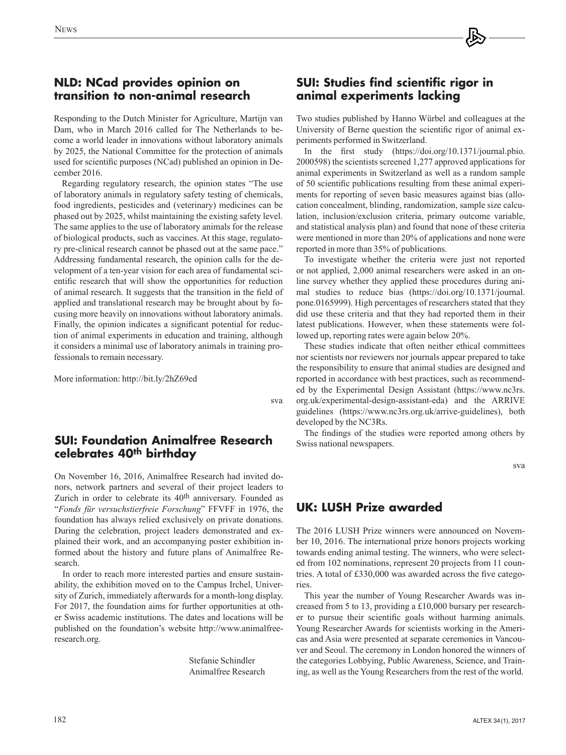#### **NLD: NCad provides opinion on transition to non-animal research**

Responding to the Dutch Minister for Agriculture, Martijn van Dam, who in March 2016 called for The Netherlands to become a world leader in innovations without laboratory animals by 2025, the National Committee for the protection of animals used for scientific purposes (NCad) published an opinion in December 2016.

Regarding regulatory research, the opinion states "The use of laboratory animals in regulatory safety testing of chemicals, food ingredients, pesticides and (veterinary) medicines can be phased out by 2025, whilst maintaining the existing safety level. The same applies to the use of laboratory animals for the release of biological products, such as vaccines. At this stage, regulatory pre-clinical research cannot be phased out at the same pace." Addressing fundamental research, the opinion calls for the development of a ten-year vision for each area of fundamental scientific research that will show the opportunities for reduction of animal research. It suggests that the transition in the field of applied and translational research may be brought about by focusing more heavily on innovations without laboratory animals. Finally, the opinion indicates a significant potential for reduction of animal experiments in education and training, although it considers a minimal use of laboratory animals in training professionals to remain necessary.

More information:<http://bit.ly/2hZ69ed>

sva

#### **SUI: Foundation Animalfree Research celebrates 40th birthday**

On November 16, 2016, Animalfree Research had invited donors, network partners and several of their project leaders to Zurich in order to celebrate its 40th anniversary. Founded as "*Fonds für versuchstierfreie Forschung*" FFVFF in 1976, the foundation has always relied exclusively on private donations. During the celebration, project leaders demonstrated and explained their work, and an accompanying poster exhibition informed about the history and future plans of Animalfree Research.

In order to reach more interested parties and ensure sustainability, the exhibition moved on to the Campus Irchel, University of Zurich, immediately afterwards for a month-long display. For 2017, the foundation aims for further opportunities at other Swiss academic institutions. The dates and locations will be [published on the foundation's website http://www.animalfree](http://www.animalfree-research.org)research[.org.](http://www.animalfree-research.org)

> Stefanie Schindler Animalfree Research

# **SUI: Studies find scientific rigor in animal experiments lacking**

Two studies published by Hanno Würbel and colleagues at the University of Berne question the scientific rigor of animal experiments performed in Switzerland.

In the first study [\(https://doi.org/10.1371/journal.pbio.](https://doi.org/10.1371/journal.pbio.2000598) [2000598\) th](https://doi.org/10.1371/journal.pbio.2000598)e scientists screened 1,277 approved applications for animal experiments in Switzerland as well as a random sample of 50 scientific publications resulting from these animal experiments for reporting of seven basic measures against bias (allocation concealment, blinding, randomization, sample size calculation, inclusion/exclusion criteria, primary outcome variable, and statistical analysis plan) and found that none of these criteria were mentioned in more than 20% of applications and none were reported in more than 35% of publications.

To investigate whether the criteria were just not reported or not applied, 2,000 animal researchers were asked in an online survey whether they applied these procedures during animal studies to reduce bias ([https://doi.org/10.1371/journal.](https://doi.org/10.1371/journal.pone.0165999) [pone.0165999\). Hi](https://doi.org/10.1371/journal.pone.0165999)gh percentages of researchers stated that they did use these criteria and that they had reported them in their latest publications. However, when these statements were followed up, reporting rates were again below 20%.

These studies indicate that often neither ethical committees nor scientists nor reviewers nor journals appear prepared to take the responsibility to ensure that animal studies are designed and reported in accordance with best practices, such as recommended by the Experimental Design Assistant [\(https://www.nc3rs.](https://www.nc3rs.org.uk/experimental-design-assistant-eda) [org.uk/experimental-design-assistant-eda\) a](https://www.nc3rs.org.uk/experimental-design-assistant-eda)nd the ARRIVE guidelines ([https://www.nc3rs.org.uk/arrive-guidelines\), b](https://www.nc3rs.org.uk/arrive-guidelines)oth developed by the NC3Rs.

The findings of the studies were reported among others by Swiss national newspapers.

sva

# **UK: LUSH Prize awarded**

The 2016 LUSH Prize winners were announced on November 10, 2016. The international prize honors projects working towards ending animal testing. The winners, who were selected from 102 nominations, represent 20 projects from 11 countries. A total of £330,000 was awarded across the five categories.

This year the number of Young Researcher Awards was increased from 5 to 13, providing a £10,000 bursary per researcher to pursue their scientific goals without harming animals. Young Researcher Awards for scientists working in the Americas and Asia were presented at separate ceremonies in Vancouver and Seoul. The ceremony in London honored the winners of the categories Lobbying, Public Awareness, Science, and Training, as well as the Young Researchers from the rest of the world.